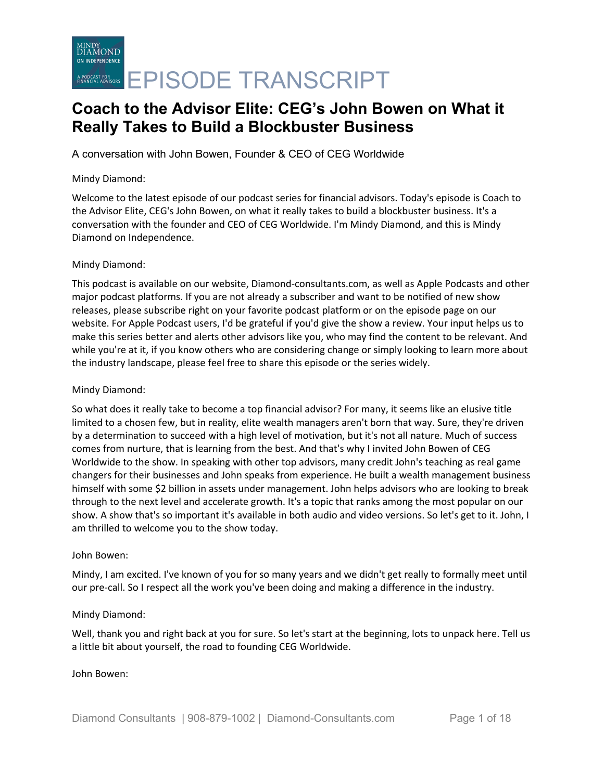A conversation with John Bowen, Founder & CEO of CEG Worldwide

### Mindy Diamond:

Welcome to the latest episode of our podcast series for financial advisors. Today's episode is Coach to the Advisor Elite, CEG's John Bowen, on what it really takes to build a blockbuster business. It's a conversation with the founder and CEO of CEG Worldwide. I'm Mindy Diamond, and this is Mindy Diamond on Independence.

### Mindy Diamond:

This podcast is available on our website, Diamond-consultants.com, as well as Apple Podcasts and other major podcast platforms. If you are not already a subscriber and want to be notified of new show releases, please subscribe right on your favorite podcast platform or on the episode page on our website. For Apple Podcast users, I'd be grateful if you'd give the show a review. Your input helps us to make this series better and alerts other advisors like you, who may find the content to be relevant. And while you're at it, if you know others who are considering change or simply looking to learn more about the industry landscape, please feel free to share this episode or the series widely.

### Mindy Diamond:

So what does it really take to become a top financial advisor? For many, it seems like an elusive title limited to a chosen few, but in reality, elite wealth managers aren't born that way. Sure, they're driven by a determination to succeed with a high level of motivation, but it's not all nature. Much of success comes from nurture, that is learning from the best. And that's why I invited John Bowen of CEG Worldwide to the show. In speaking with other top advisors, many credit John's teaching as real game changers for their businesses and John speaks from experience. He built a wealth management business himself with some \$2 billion in assets under management. John helps advisors who are looking to break through to the next level and accelerate growth. It's a topic that ranks among the most popular on our show. A show that's so important it's available in both audio and video versions. So let's get to it. John, I am thrilled to welcome you to the show today.

### John Bowen:

Mindy, I am excited. I've known of you for so many years and we didn't get really to formally meet until our pre-call. So I respect all the work you've been doing and making a difference in the industry.

### Mindy Diamond:

Well, thank you and right back at you for sure. So let's start at the beginning, lots to unpack here. Tell us a little bit about yourself, the road to founding CEG Worldwide.

### John Bowen: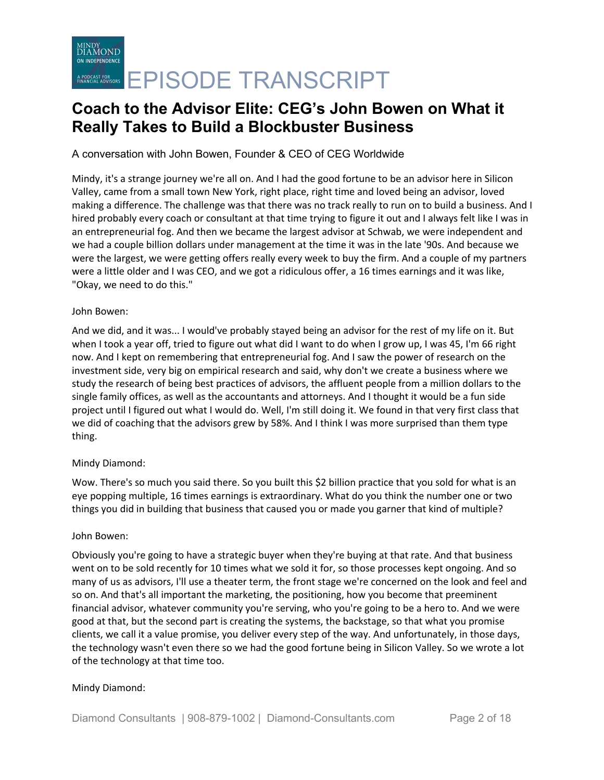A conversation with John Bowen, Founder & CEO of CEG Worldwide

Mindy, it's a strange journey we're all on. And I had the good fortune to be an advisor here in Silicon Valley, came from a small town New York, right place, right time and loved being an advisor, loved making a difference. The challenge was that there was no track really to run on to build a business. And I hired probably every coach or consultant at that time trying to figure it out and I always felt like I was in an entrepreneurial fog. And then we became the largest advisor at Schwab, we were independent and we had a couple billion dollars under management at the time it was in the late '90s. And because we were the largest, we were getting offers really every week to buy the firm. And a couple of my partners were a little older and I was CEO, and we got a ridiculous offer, a 16 times earnings and it was like, "Okay, we need to do this."

### John Bowen:

And we did, and it was... I would've probably stayed being an advisor for the rest of my life on it. But when I took a year off, tried to figure out what did I want to do when I grow up, I was 45, I'm 66 right now. And I kept on remembering that entrepreneurial fog. And I saw the power of research on the investment side, very big on empirical research and said, why don't we create a business where we study the research of being best practices of advisors, the affluent people from a million dollars to the single family offices, as well as the accountants and attorneys. And I thought it would be a fun side project until I figured out what I would do. Well, I'm still doing it. We found in that very first class that we did of coaching that the advisors grew by 58%. And I think I was more surprised than them type thing.

## Mindy Diamond:

Wow. There's so much you said there. So you built this \$2 billion practice that you sold for what is an eye popping multiple, 16 times earnings is extraordinary. What do you think the number one or two things you did in building that business that caused you or made you garner that kind of multiple?

### John Bowen:

Obviously you're going to have a strategic buyer when they're buying at that rate. And that business went on to be sold recently for 10 times what we sold it for, so those processes kept ongoing. And so many of us as advisors, I'll use a theater term, the front stage we're concerned on the look and feel and so on. And that's all important the marketing, the positioning, how you become that preeminent financial advisor, whatever community you're serving, who you're going to be a hero to. And we were good at that, but the second part is creating the systems, the backstage, so that what you promise clients, we call it a value promise, you deliver every step of the way. And unfortunately, in those days, the technology wasn't even there so we had the good fortune being in Silicon Valley. So we wrote a lot of the technology at that time too.

### Mindy Diamond: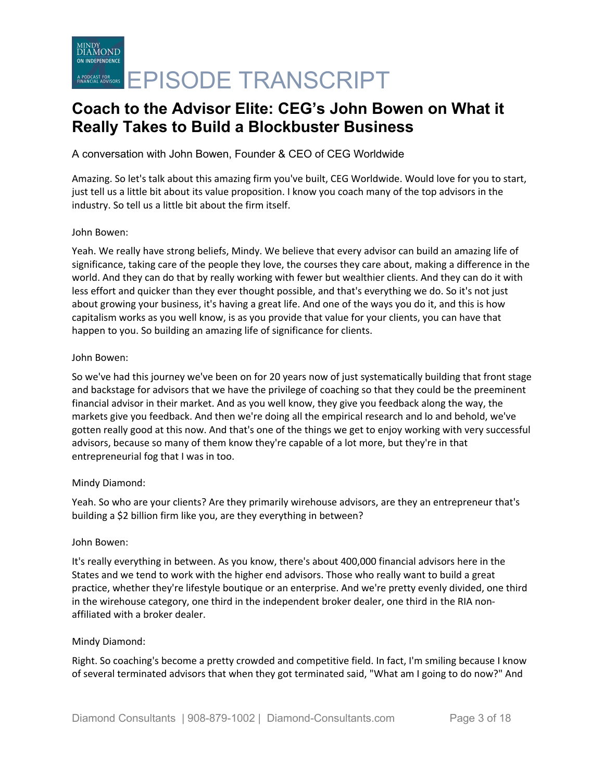A conversation with John Bowen, Founder & CEO of CEG Worldwide

Amazing. So let's talk about this amazing firm you've built, CEG Worldwide. Would love for you to start, just tell us a little bit about its value proposition. I know you coach many of the top advisors in the industry. So tell us a little bit about the firm itself.

#### John Bowen:

Yeah. We really have strong beliefs, Mindy. We believe that every advisor can build an amazing life of significance, taking care of the people they love, the courses they care about, making a difference in the world. And they can do that by really working with fewer but wealthier clients. And they can do it with less effort and quicker than they ever thought possible, and that's everything we do. So it's not just about growing your business, it's having a great life. And one of the ways you do it, and this is how capitalism works as you well know, is as you provide that value for your clients, you can have that happen to you. So building an amazing life of significance for clients.

#### John Bowen:

So we've had this journey we've been on for 20 years now of just systematically building that front stage and backstage for advisors that we have the privilege of coaching so that they could be the preeminent financial advisor in their market. And as you well know, they give you feedback along the way, the markets give you feedback. And then we're doing all the empirical research and lo and behold, we've gotten really good at this now. And that's one of the things we get to enjoy working with very successful advisors, because so many of them know they're capable of a lot more, but they're in that entrepreneurial fog that I was in too.

### Mindy Diamond:

Yeah. So who are your clients? Are they primarily wirehouse advisors, are they an entrepreneur that's building a \$2 billion firm like you, are they everything in between?

#### John Bowen:

It's really everything in between. As you know, there's about 400,000 financial advisors here in the States and we tend to work with the higher end advisors. Those who really want to build a great practice, whether they're lifestyle boutique or an enterprise. And we're pretty evenly divided, one third in the wirehouse category, one third in the independent broker dealer, one third in the RIA nonaffiliated with a broker dealer.

### Mindy Diamond:

Right. So coaching's become a pretty crowded and competitive field. In fact, I'm smiling because I know of several terminated advisors that when they got terminated said, "What am I going to do now?" And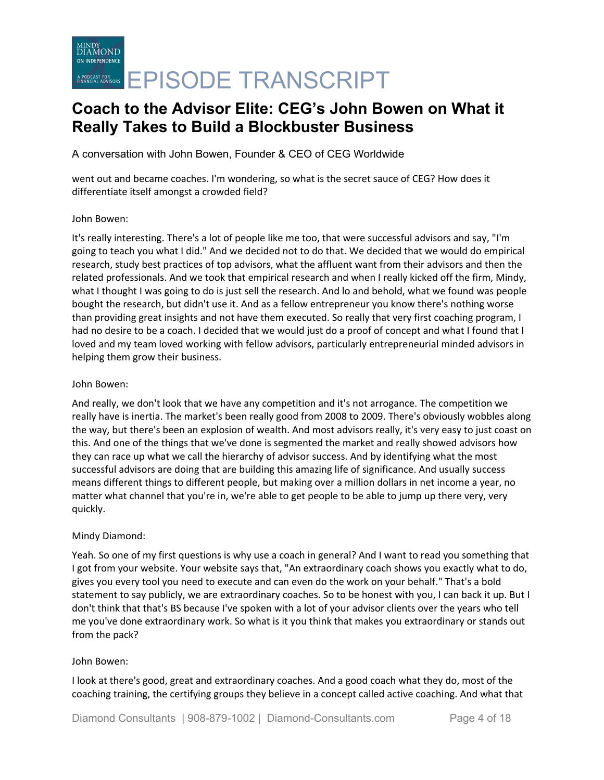MINDY<br>DIAMOND ON INDEPENDENCE ACREARISTERS **EPISODE TRANSCRIPT** 

## **Coach to the Advisor Elite: CEG's John Bowen on What it Really Takes to Build a Blockbuster Business**

A conversation with John Bowen, Founder & CEO of CEG Worldwide

went out and became coaches. I'm wondering, so what is the secret sauce of CEG? How does it differentiate itself amongst a crowded field?

### John Bowen:

It's really interesting. There's a lot of people like me too, that were successful advisors and say, "I'm going to teach you what I did." And we decided not to do that. We decided that we would do empirical research, study best practices of top advisors, what the affluent want from their advisors and then the related professionals. And we took that empirical research and when I really kicked off the firm, Mindy, what I thought I was going to do is just sell the research. And lo and behold, what we found was people bought the research, but didn't use it. And as a fellow entrepreneur you know there's nothing worse than providing great insights and not have them executed. So really that very first coaching program, I had no desire to be a coach. I decided that we would just do a proof of concept and what I found that I loved and my team loved working with fellow advisors, particularly entrepreneurial minded advisors in helping them grow their business.

#### John Bowen:

And really, we don't look that we have any competition and it's not arrogance. The competition we really have is inertia. The market's been really good from 2008 to 2009. There's obviously wobbles along the way, but there's been an explosion of wealth. And most advisors really, it's very easy to just coast on this. And one of the things that we've done is segmented the market and really showed advisors how they can race up what we call the hierarchy of advisor success. And by identifying what the most successful advisors are doing that are building this amazing life of significance. And usually success means different things to different people, but making over a million dollars in net income a year, no matter what channel that you're in, we're able to get people to be able to jump up there very, very quickly.

### Mindy Diamond:

Yeah. So one of my first questions is why use a coach in general? And I want to read you something that I got from your website. Your website says that, "An extraordinary coach shows you exactly what to do, gives you every tool you need to execute and can even do the work on your behalf." That's a bold statement to say publicly, we are extraordinary coaches. So to be honest with you, I can back it up. But I don't think that that's BS because I've spoken with a lot of your advisor clients over the years who tell me you've done extraordinary work. So what is it you think that makes you extraordinary or stands out from the pack?

#### John Bowen:

I look at there's good, great and extraordinary coaches. And a good coach what they do, most of the coaching training, the certifying groups they believe in a concept called active coaching. And what that

Diamond Consultants | 908-879-1002 | Diamond-Consultants.com Page 4 of 18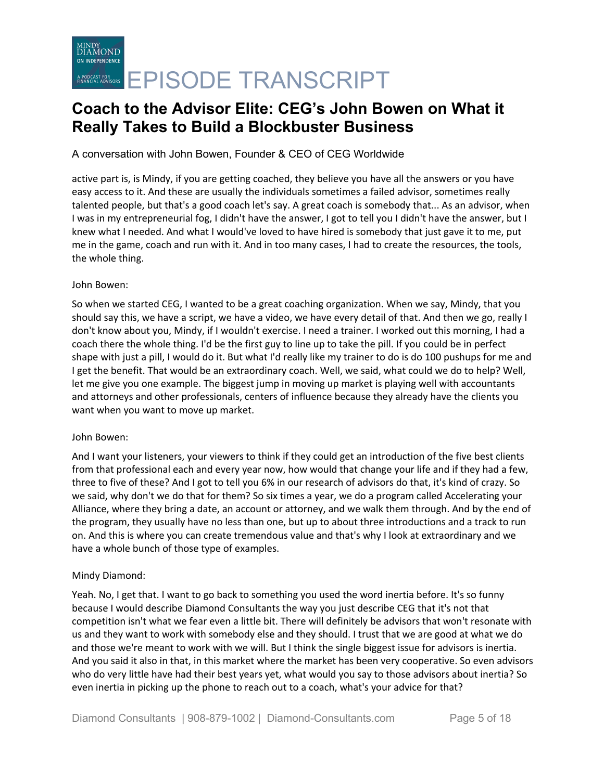## A conversation with John Bowen, Founder & CEO of CEG Worldwide

active part is, is Mindy, if you are getting coached, they believe you have all the answers or you have easy access to it. And these are usually the individuals sometimes a failed advisor, sometimes really talented people, but that's a good coach let's say. A great coach is somebody that... As an advisor, when I was in my entrepreneurial fog, I didn't have the answer, I got to tell you I didn't have the answer, but I knew what I needed. And what I would've loved to have hired is somebody that just gave it to me, put me in the game, coach and run with it. And in too many cases, I had to create the resources, the tools, the whole thing.

### John Bowen:

So when we started CEG, I wanted to be a great coaching organization. When we say, Mindy, that you should say this, we have a script, we have a video, we have every detail of that. And then we go, really I don't know about you, Mindy, if I wouldn't exercise. I need a trainer. I worked out this morning, I had a coach there the whole thing. I'd be the first guy to line up to take the pill. If you could be in perfect shape with just a pill, I would do it. But what I'd really like my trainer to do is do 100 pushups for me and I get the benefit. That would be an extraordinary coach. Well, we said, what could we do to help? Well, let me give you one example. The biggest jump in moving up market is playing well with accountants and attorneys and other professionals, centers of influence because they already have the clients you want when you want to move up market.

### John Bowen:

And I want your listeners, your viewers to think if they could get an introduction of the five best clients from that professional each and every year now, how would that change your life and if they had a few, three to five of these? And I got to tell you 6% in our research of advisors do that, it's kind of crazy. So we said, why don't we do that for them? So six times a year, we do a program called Accelerating your Alliance, where they bring a date, an account or attorney, and we walk them through. And by the end of the program, they usually have no less than one, but up to about three introductions and a track to run on. And this is where you can create tremendous value and that's why I look at extraordinary and we have a whole bunch of those type of examples.

## Mindy Diamond:

Yeah. No, I get that. I want to go back to something you used the word inertia before. It's so funny because I would describe Diamond Consultants the way you just describe CEG that it's not that competition isn't what we fear even a little bit. There will definitely be advisors that won't resonate with us and they want to work with somebody else and they should. I trust that we are good at what we do and those we're meant to work with we will. But I think the single biggest issue for advisors is inertia. And you said it also in that, in this market where the market has been very cooperative. So even advisors who do very little have had their best years yet, what would you say to those advisors about inertia? So even inertia in picking up the phone to reach out to a coach, what's your advice for that?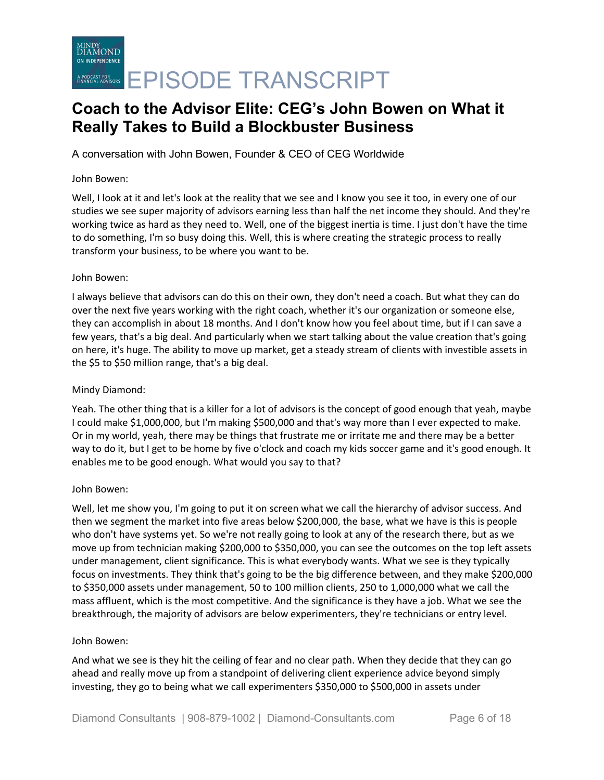A conversation with John Bowen, Founder & CEO of CEG Worldwide

#### John Bowen:

Well, I look at it and let's look at the reality that we see and I know you see it too, in every one of our studies we see super majority of advisors earning less than half the net income they should. And they're working twice as hard as they need to. Well, one of the biggest inertia is time. I just don't have the time to do something, I'm so busy doing this. Well, this is where creating the strategic process to really transform your business, to be where you want to be.

### John Bowen:

I always believe that advisors can do this on their own, they don't need a coach. But what they can do over the next five years working with the right coach, whether it's our organization or someone else, they can accomplish in about 18 months. And I don't know how you feel about time, but if I can save a few years, that's a big deal. And particularly when we start talking about the value creation that's going on here, it's huge. The ability to move up market, get a steady stream of clients with investible assets in the \$5 to \$50 million range, that's a big deal.

#### Mindy Diamond:

Yeah. The other thing that is a killer for a lot of advisors is the concept of good enough that yeah, maybe I could make \$1,000,000, but I'm making \$500,000 and that's way more than I ever expected to make. Or in my world, yeah, there may be things that frustrate me or irritate me and there may be a better way to do it, but I get to be home by five o'clock and coach my kids soccer game and it's good enough. It enables me to be good enough. What would you say to that?

### John Bowen:

Well, let me show you, I'm going to put it on screen what we call the hierarchy of advisor success. And then we segment the market into five areas below \$200,000, the base, what we have is this is people who don't have systems yet. So we're not really going to look at any of the research there, but as we move up from technician making \$200,000 to \$350,000, you can see the outcomes on the top left assets under management, client significance. This is what everybody wants. What we see is they typically focus on investments. They think that's going to be the big difference between, and they make \$200,000 to \$350,000 assets under management, 50 to 100 million clients, 250 to 1,000,000 what we call the mass affluent, which is the most competitive. And the significance is they have a job. What we see the breakthrough, the majority of advisors are below experimenters, they're technicians or entry level.

#### John Bowen:

And what we see is they hit the ceiling of fear and no clear path. When they decide that they can go ahead and really move up from a standpoint of delivering client experience advice beyond simply investing, they go to being what we call experimenters \$350,000 to \$500,000 in assets under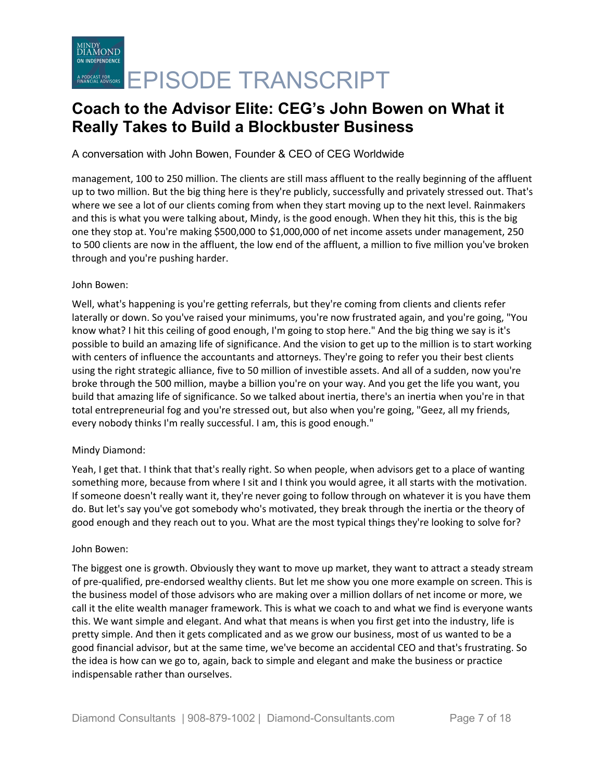A conversation with John Bowen, Founder & CEO of CEG Worldwide

management, 100 to 250 million. The clients are still mass affluent to the really beginning of the affluent up to two million. But the big thing here is they're publicly, successfully and privately stressed out. That's where we see a lot of our clients coming from when they start moving up to the next level. Rainmakers and this is what you were talking about, Mindy, is the good enough. When they hit this, this is the big one they stop at. You're making \$500,000 to \$1,000,000 of net income assets under management, 250 to 500 clients are now in the affluent, the low end of the affluent, a million to five million you've broken through and you're pushing harder.

### John Bowen:

Well, what's happening is you're getting referrals, but they're coming from clients and clients refer laterally or down. So you've raised your minimums, you're now frustrated again, and you're going, "You know what? I hit this ceiling of good enough, I'm going to stop here." And the big thing we say is it's possible to build an amazing life of significance. And the vision to get up to the million is to start working with centers of influence the accountants and attorneys. They're going to refer you their best clients using the right strategic alliance, five to 50 million of investible assets. And all of a sudden, now you're broke through the 500 million, maybe a billion you're on your way. And you get the life you want, you build that amazing life of significance. So we talked about inertia, there's an inertia when you're in that total entrepreneurial fog and you're stressed out, but also when you're going, "Geez, all my friends, every nobody thinks I'm really successful. I am, this is good enough."

## Mindy Diamond:

Yeah, I get that. I think that that's really right. So when people, when advisors get to a place of wanting something more, because from where I sit and I think you would agree, it all starts with the motivation. If someone doesn't really want it, they're never going to follow through on whatever it is you have them do. But let's say you've got somebody who's motivated, they break through the inertia or the theory of good enough and they reach out to you. What are the most typical things they're looking to solve for?

### John Bowen:

The biggest one is growth. Obviously they want to move up market, they want to attract a steady stream of pre-qualified, pre-endorsed wealthy clients. But let me show you one more example on screen. This is the business model of those advisors who are making over a million dollars of net income or more, we call it the elite wealth manager framework. This is what we coach to and what we find is everyone wants this. We want simple and elegant. And what that means is when you first get into the industry, life is pretty simple. And then it gets complicated and as we grow our business, most of us wanted to be a good financial advisor, but at the same time, we've become an accidental CEO and that's frustrating. So the idea is how can we go to, again, back to simple and elegant and make the business or practice indispensable rather than ourselves.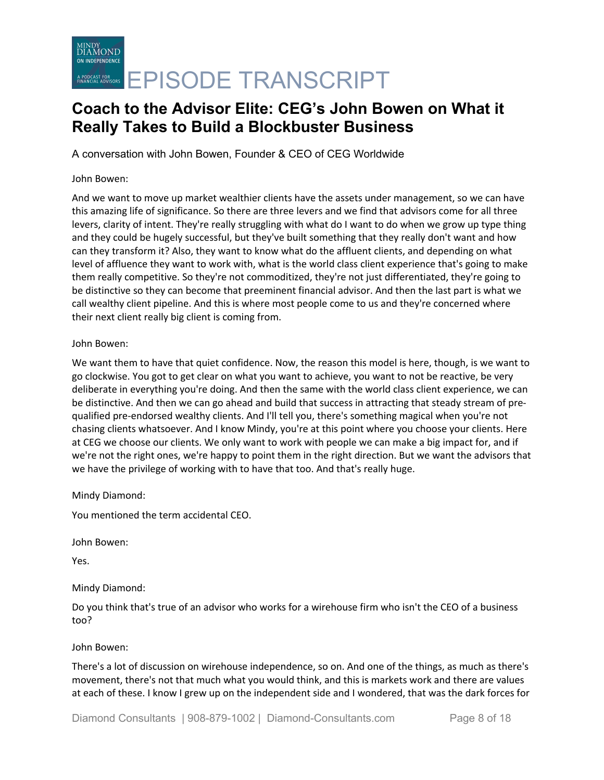A conversation with John Bowen, Founder & CEO of CEG Worldwide

#### John Bowen:

And we want to move up market wealthier clients have the assets under management, so we can have this amazing life of significance. So there are three levers and we find that advisors come for all three levers, clarity of intent. They're really struggling with what do I want to do when we grow up type thing and they could be hugely successful, but they've built something that they really don't want and how can they transform it? Also, they want to know what do the affluent clients, and depending on what level of affluence they want to work with, what is the world class client experience that's going to make them really competitive. So they're not commoditized, they're not just differentiated, they're going to be distinctive so they can become that preeminent financial advisor. And then the last part is what we call wealthy client pipeline. And this is where most people come to us and they're concerned where their next client really big client is coming from.

### John Bowen:

We want them to have that quiet confidence. Now, the reason this model is here, though, is we want to go clockwise. You got to get clear on what you want to achieve, you want to not be reactive, be very deliberate in everything you're doing. And then the same with the world class client experience, we can be distinctive. And then we can go ahead and build that success in attracting that steady stream of prequalified pre-endorsed wealthy clients. And I'll tell you, there's something magical when you're not chasing clients whatsoever. And I know Mindy, you're at this point where you choose your clients. Here at CEG we choose our clients. We only want to work with people we can make a big impact for, and if we're not the right ones, we're happy to point them in the right direction. But we want the advisors that we have the privilege of working with to have that too. And that's really huge.

Mindy Diamond:

You mentioned the term accidental CEO.

John Bowen:

Yes.

Mindy Diamond:

Do you think that's true of an advisor who works for a wirehouse firm who isn't the CEO of a business too?

John Bowen:

There's a lot of discussion on wirehouse independence, so on. And one of the things, as much as there's movement, there's not that much what you would think, and this is markets work and there are values at each of these. I know I grew up on the independent side and I wondered, that was the dark forces for

Diamond Consultants | 908-879-1002 | Diamond-Consultants.com Page 8 of 18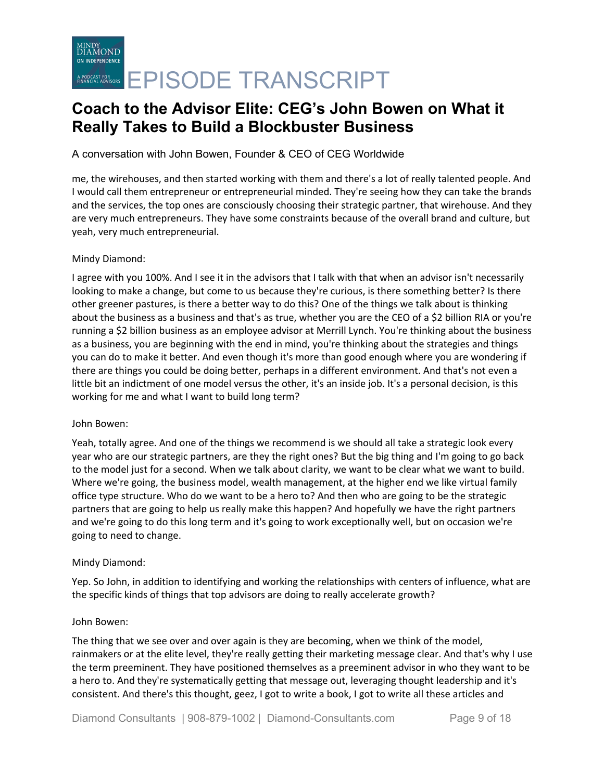## A conversation with John Bowen, Founder & CEO of CEG Worldwide

me, the wirehouses, and then started working with them and there's a lot of really talented people. And I would call them entrepreneur or entrepreneurial minded. They're seeing how they can take the brands and the services, the top ones are consciously choosing their strategic partner, that wirehouse. And they are very much entrepreneurs. They have some constraints because of the overall brand and culture, but yeah, very much entrepreneurial.

### Mindy Diamond:

I agree with you 100%. And I see it in the advisors that I talk with that when an advisor isn't necessarily looking to make a change, but come to us because they're curious, is there something better? Is there other greener pastures, is there a better way to do this? One of the things we talk about is thinking about the business as a business and that's as true, whether you are the CEO of a \$2 billion RIA or you're running a \$2 billion business as an employee advisor at Merrill Lynch. You're thinking about the business as a business, you are beginning with the end in mind, you're thinking about the strategies and things you can do to make it better. And even though it's more than good enough where you are wondering if there are things you could be doing better, perhaps in a different environment. And that's not even a little bit an indictment of one model versus the other, it's an inside job. It's a personal decision, is this working for me and what I want to build long term?

### John Bowen:

Yeah, totally agree. And one of the things we recommend is we should all take a strategic look every year who are our strategic partners, are they the right ones? But the big thing and I'm going to go back to the model just for a second. When we talk about clarity, we want to be clear what we want to build. Where we're going, the business model, wealth management, at the higher end we like virtual family office type structure. Who do we want to be a hero to? And then who are going to be the strategic partners that are going to help us really make this happen? And hopefully we have the right partners and we're going to do this long term and it's going to work exceptionally well, but on occasion we're going to need to change.

### Mindy Diamond:

Yep. So John, in addition to identifying and working the relationships with centers of influence, what are the specific kinds of things that top advisors are doing to really accelerate growth?

### John Bowen:

The thing that we see over and over again is they are becoming, when we think of the model, rainmakers or at the elite level, they're really getting their marketing message clear. And that's why I use the term preeminent. They have positioned themselves as a preeminent advisor in who they want to be a hero to. And they're systematically getting that message out, leveraging thought leadership and it's consistent. And there's this thought, geez, I got to write a book, I got to write all these articles and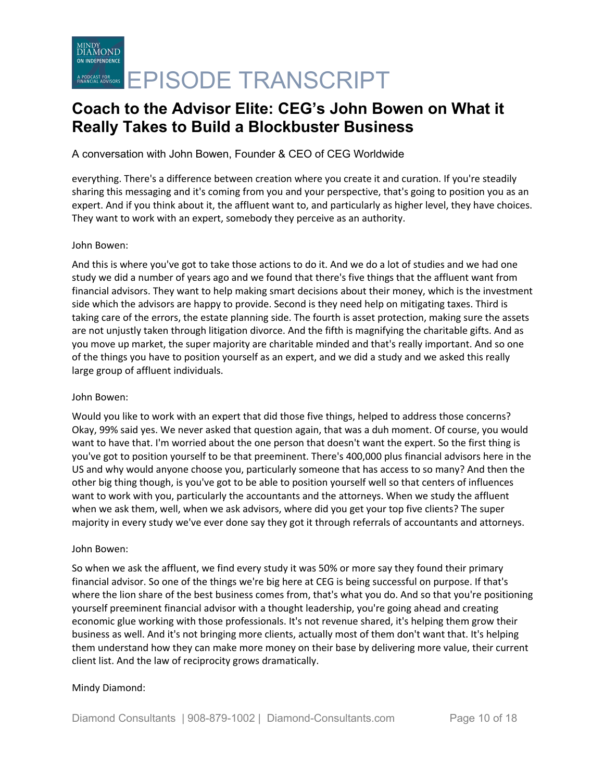A conversation with John Bowen, Founder & CEO of CEG Worldwide

everything. There's a difference between creation where you create it and curation. If you're steadily sharing this messaging and it's coming from you and your perspective, that's going to position you as an expert. And if you think about it, the affluent want to, and particularly as higher level, they have choices. They want to work with an expert, somebody they perceive as an authority.

### John Bowen:

And this is where you've got to take those actions to do it. And we do a lot of studies and we had one study we did a number of years ago and we found that there's five things that the affluent want from financial advisors. They want to help making smart decisions about their money, which is the investment side which the advisors are happy to provide. Second is they need help on mitigating taxes. Third is taking care of the errors, the estate planning side. The fourth is asset protection, making sure the assets are not unjustly taken through litigation divorce. And the fifth is magnifying the charitable gifts. And as you move up market, the super majority are charitable minded and that's really important. And so one of the things you have to position yourself as an expert, and we did a study and we asked this really large group of affluent individuals.

### John Bowen:

Would you like to work with an expert that did those five things, helped to address those concerns? Okay, 99% said yes. We never asked that question again, that was a duh moment. Of course, you would want to have that. I'm worried about the one person that doesn't want the expert. So the first thing is you've got to position yourself to be that preeminent. There's 400,000 plus financial advisors here in the US and why would anyone choose you, particularly someone that has access to so many? And then the other big thing though, is you've got to be able to position yourself well so that centers of influences want to work with you, particularly the accountants and the attorneys. When we study the affluent when we ask them, well, when we ask advisors, where did you get your top five clients? The super majority in every study we've ever done say they got it through referrals of accountants and attorneys.

#### John Bowen:

So when we ask the affluent, we find every study it was 50% or more say they found their primary financial advisor. So one of the things we're big here at CEG is being successful on purpose. If that's where the lion share of the best business comes from, that's what you do. And so that you're positioning yourself preeminent financial advisor with a thought leadership, you're going ahead and creating economic glue working with those professionals. It's not revenue shared, it's helping them grow their business as well. And it's not bringing more clients, actually most of them don't want that. It's helping them understand how they can make more money on their base by delivering more value, their current client list. And the law of reciprocity grows dramatically.

### Mindy Diamond: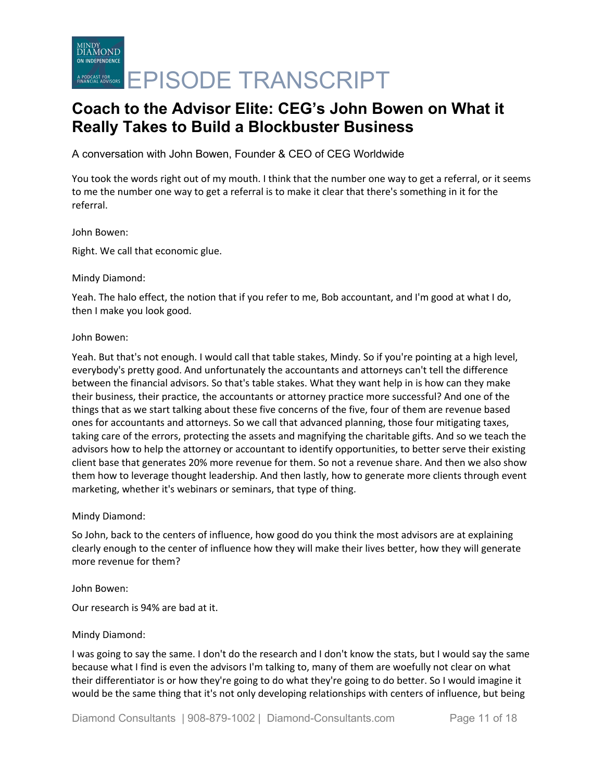MINDY<br>DIAMOND ON INDEPENDENCE ACREARISTERS **EPISODE TRANSCRIPT** 

# **Coach to the Advisor Elite: CEG's John Bowen on What it Really Takes to Build a Blockbuster Business**

A conversation with John Bowen, Founder & CEO of CEG Worldwide

You took the words right out of my mouth. I think that the number one way to get a referral, or it seems to me the number one way to get a referral is to make it clear that there's something in it for the referral.

#### John Bowen:

Right. We call that economic glue.

#### Mindy Diamond:

Yeah. The halo effect, the notion that if you refer to me, Bob accountant, and I'm good at what I do, then I make you look good.

#### John Bowen:

Yeah. But that's not enough. I would call that table stakes, Mindy. So if you're pointing at a high level, everybody's pretty good. And unfortunately the accountants and attorneys can't tell the difference between the financial advisors. So that's table stakes. What they want help in is how can they make their business, their practice, the accountants or attorney practice more successful? And one of the things that as we start talking about these five concerns of the five, four of them are revenue based ones for accountants and attorneys. So we call that advanced planning, those four mitigating taxes, taking care of the errors, protecting the assets and magnifying the charitable gifts. And so we teach the advisors how to help the attorney or accountant to identify opportunities, to better serve their existing client base that generates 20% more revenue for them. So not a revenue share. And then we also show them how to leverage thought leadership. And then lastly, how to generate more clients through event marketing, whether it's webinars or seminars, that type of thing.

### Mindy Diamond:

So John, back to the centers of influence, how good do you think the most advisors are at explaining clearly enough to the center of influence how they will make their lives better, how they will generate more revenue for them?

John Bowen:

Our research is 94% are bad at it.

### Mindy Diamond:

I was going to say the same. I don't do the research and I don't know the stats, but I would say the same because what I find is even the advisors I'm talking to, many of them are woefully not clear on what their differentiator is or how they're going to do what they're going to do better. So I would imagine it would be the same thing that it's not only developing relationships with centers of influence, but being

Diamond Consultants | 908-879-1002 | Diamond-Consultants.com Page 11 of 18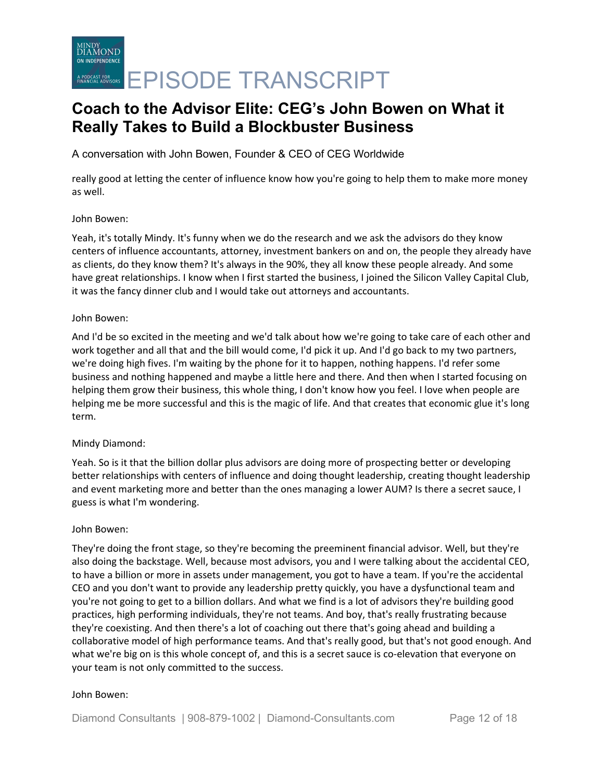MINDY<br>DIAMOND ON INDEPENDENCE ACREARISTERS ON EPISODE TRANSCRIPT

# **Coach to the Advisor Elite: CEG's John Bowen on What it Really Takes to Build a Blockbuster Business**

A conversation with John Bowen, Founder & CEO of CEG Worldwide

really good at letting the center of influence know how you're going to help them to make more money as well.

### John Bowen:

Yeah, it's totally Mindy. It's funny when we do the research and we ask the advisors do they know centers of influence accountants, attorney, investment bankers on and on, the people they already have as clients, do they know them? It's always in the 90%, they all know these people already. And some have great relationships. I know when I first started the business, I joined the Silicon Valley Capital Club, it was the fancy dinner club and I would take out attorneys and accountants.

#### John Bowen:

And I'd be so excited in the meeting and we'd talk about how we're going to take care of each other and work together and all that and the bill would come, I'd pick it up. And I'd go back to my two partners, we're doing high fives. I'm waiting by the phone for it to happen, nothing happens. I'd refer some business and nothing happened and maybe a little here and there. And then when I started focusing on helping them grow their business, this whole thing, I don't know how you feel. I love when people are helping me be more successful and this is the magic of life. And that creates that economic glue it's long term.

### Mindy Diamond:

Yeah. So is it that the billion dollar plus advisors are doing more of prospecting better or developing better relationships with centers of influence and doing thought leadership, creating thought leadership and event marketing more and better than the ones managing a lower AUM? Is there a secret sauce, I guess is what I'm wondering.

#### John Bowen:

They're doing the front stage, so they're becoming the preeminent financial advisor. Well, but they're also doing the backstage. Well, because most advisors, you and I were talking about the accidental CEO, to have a billion or more in assets under management, you got to have a team. If you're the accidental CEO and you don't want to provide any leadership pretty quickly, you have a dysfunctional team and you're not going to get to a billion dollars. And what we find is a lot of advisors they're building good practices, high performing individuals, they're not teams. And boy, that's really frustrating because they're coexisting. And then there's a lot of coaching out there that's going ahead and building a collaborative model of high performance teams. And that's really good, but that's not good enough. And what we're big on is this whole concept of, and this is a secret sauce is co-elevation that everyone on your team is not only committed to the success.

#### John Bowen: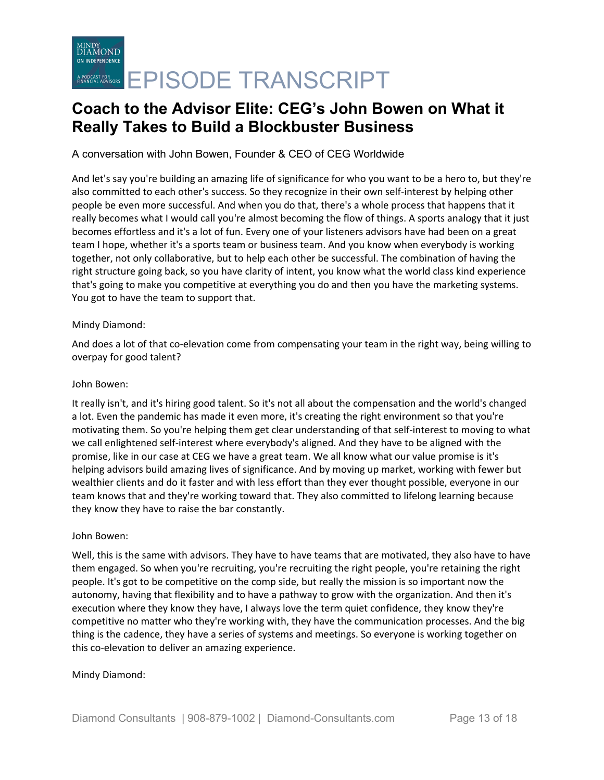A conversation with John Bowen, Founder & CEO of CEG Worldwide

And let's say you're building an amazing life of significance for who you want to be a hero to, but they're also committed to each other's success. So they recognize in their own self-interest by helping other people be even more successful. And when you do that, there's a whole process that happens that it really becomes what I would call you're almost becoming the flow of things. A sports analogy that it just becomes effortless and it's a lot of fun. Every one of your listeners advisors have had been on a great team I hope, whether it's a sports team or business team. And you know when everybody is working together, not only collaborative, but to help each other be successful. The combination of having the right structure going back, so you have clarity of intent, you know what the world class kind experience that's going to make you competitive at everything you do and then you have the marketing systems. You got to have the team to support that.

### Mindy Diamond:

And does a lot of that co-elevation come from compensating your team in the right way, being willing to overpay for good talent?

### John Bowen:

It really isn't, and it's hiring good talent. So it's not all about the compensation and the world's changed a lot. Even the pandemic has made it even more, it's creating the right environment so that you're motivating them. So you're helping them get clear understanding of that self-interest to moving to what we call enlightened self-interest where everybody's aligned. And they have to be aligned with the promise, like in our case at CEG we have a great team. We all know what our value promise is it's helping advisors build amazing lives of significance. And by moving up market, working with fewer but wealthier clients and do it faster and with less effort than they ever thought possible, everyone in our team knows that and they're working toward that. They also committed to lifelong learning because they know they have to raise the bar constantly.

### John Bowen:

Well, this is the same with advisors. They have to have teams that are motivated, they also have to have them engaged. So when you're recruiting, you're recruiting the right people, you're retaining the right people. It's got to be competitive on the comp side, but really the mission is so important now the autonomy, having that flexibility and to have a pathway to grow with the organization. And then it's execution where they know they have, I always love the term quiet confidence, they know they're competitive no matter who they're working with, they have the communication processes. And the big thing is the cadence, they have a series of systems and meetings. So everyone is working together on this co-elevation to deliver an amazing experience.

### Mindy Diamond: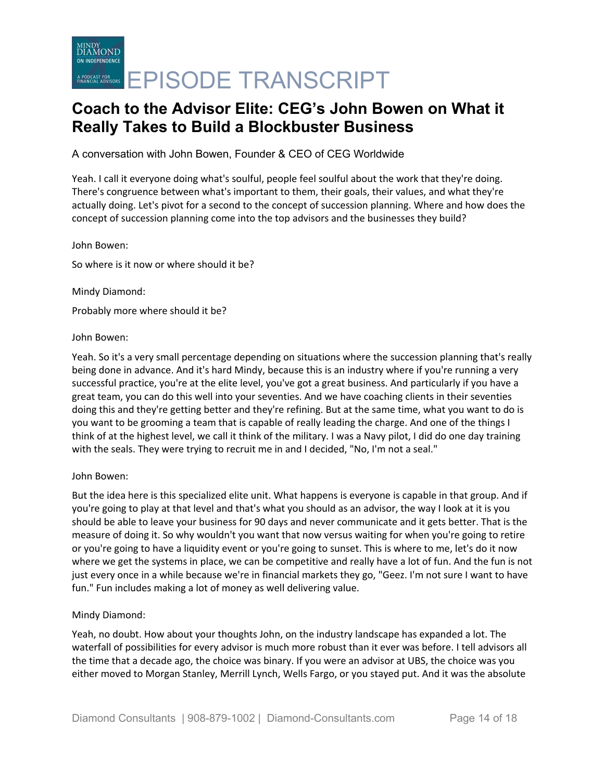A conversation with John Bowen, Founder & CEO of CEG Worldwide

Yeah. I call it everyone doing what's soulful, people feel soulful about the work that they're doing. There's congruence between what's important to them, their goals, their values, and what they're actually doing. Let's pivot for a second to the concept of succession planning. Where and how does the concept of succession planning come into the top advisors and the businesses they build?

John Bowen:

So where is it now or where should it be?

Mindy Diamond:

Probably more where should it be?

#### John Bowen:

Yeah. So it's a very small percentage depending on situations where the succession planning that's really being done in advance. And it's hard Mindy, because this is an industry where if you're running a very successful practice, you're at the elite level, you've got a great business. And particularly if you have a great team, you can do this well into your seventies. And we have coaching clients in their seventies doing this and they're getting better and they're refining. But at the same time, what you want to do is you want to be grooming a team that is capable of really leading the charge. And one of the things I think of at the highest level, we call it think of the military. I was a Navy pilot, I did do one day training with the seals. They were trying to recruit me in and I decided, "No, I'm not a seal."

### John Bowen:

But the idea here is this specialized elite unit. What happens is everyone is capable in that group. And if you're going to play at that level and that's what you should as an advisor, the way I look at it is you should be able to leave your business for 90 days and never communicate and it gets better. That is the measure of doing it. So why wouldn't you want that now versus waiting for when you're going to retire or you're going to have a liquidity event or you're going to sunset. This is where to me, let's do it now where we get the systems in place, we can be competitive and really have a lot of fun. And the fun is not just every once in a while because we're in financial markets they go, "Geez. I'm not sure I want to have fun." Fun includes making a lot of money as well delivering value.

### Mindy Diamond:

Yeah, no doubt. How about your thoughts John, on the industry landscape has expanded a lot. The waterfall of possibilities for every advisor is much more robust than it ever was before. I tell advisors all the time that a decade ago, the choice was binary. If you were an advisor at UBS, the choice was you either moved to Morgan Stanley, Merrill Lynch, Wells Fargo, or you stayed put. And it was the absolute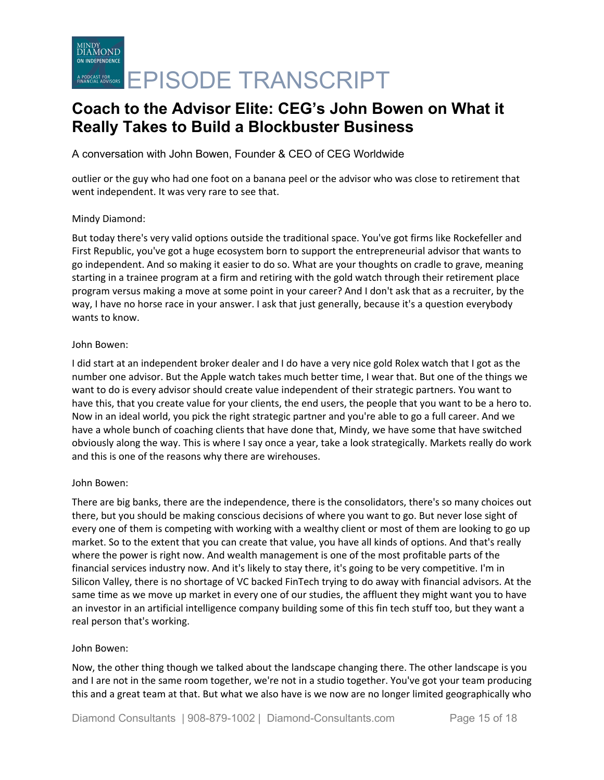A conversation with John Bowen, Founder & CEO of CEG Worldwide

outlier or the guy who had one foot on a banana peel or the advisor who was close to retirement that went independent. It was very rare to see that.

### Mindy Diamond:

But today there's very valid options outside the traditional space. You've got firms like Rockefeller and First Republic, you've got a huge ecosystem born to support the entrepreneurial advisor that wants to go independent. And so making it easier to do so. What are your thoughts on cradle to grave, meaning starting in a trainee program at a firm and retiring with the gold watch through their retirement place program versus making a move at some point in your career? And I don't ask that as a recruiter, by the way, I have no horse race in your answer. I ask that just generally, because it's a question everybody wants to know.

### John Bowen:

I did start at an independent broker dealer and I do have a very nice gold Rolex watch that I got as the number one advisor. But the Apple watch takes much better time, I wear that. But one of the things we want to do is every advisor should create value independent of their strategic partners. You want to have this, that you create value for your clients, the end users, the people that you want to be a hero to. Now in an ideal world, you pick the right strategic partner and you're able to go a full career. And we have a whole bunch of coaching clients that have done that, Mindy, we have some that have switched obviously along the way. This is where I say once a year, take a look strategically. Markets really do work and this is one of the reasons why there are wirehouses.

### John Bowen:

There are big banks, there are the independence, there is the consolidators, there's so many choices out there, but you should be making conscious decisions of where you want to go. But never lose sight of every one of them is competing with working with a wealthy client or most of them are looking to go up market. So to the extent that you can create that value, you have all kinds of options. And that's really where the power is right now. And wealth management is one of the most profitable parts of the financial services industry now. And it's likely to stay there, it's going to be very competitive. I'm in Silicon Valley, there is no shortage of VC backed FinTech trying to do away with financial advisors. At the same time as we move up market in every one of our studies, the affluent they might want you to have an investor in an artificial intelligence company building some of this fin tech stuff too, but they want a real person that's working.

### John Bowen:

Now, the other thing though we talked about the landscape changing there. The other landscape is you and I are not in the same room together, we're not in a studio together. You've got your team producing this and a great team at that. But what we also have is we now are no longer limited geographically who

Diamond Consultants | 908-879-1002 | Diamond-Consultants.com Page 15 of 18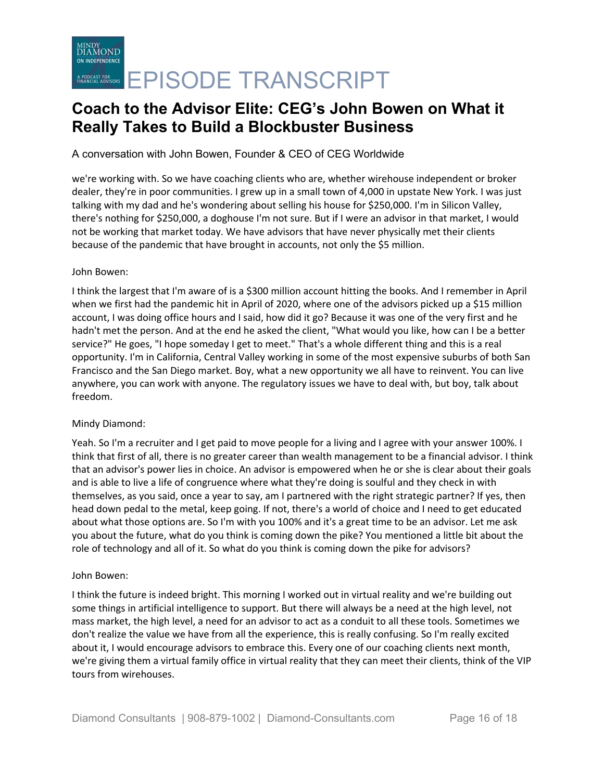## A conversation with John Bowen, Founder & CEO of CEG Worldwide

we're working with. So we have coaching clients who are, whether wirehouse independent or broker dealer, they're in poor communities. I grew up in a small town of 4,000 in upstate New York. I was just talking with my dad and he's wondering about selling his house for \$250,000. I'm in Silicon Valley, there's nothing for \$250,000, a doghouse I'm not sure. But if I were an advisor in that market, I would not be working that market today. We have advisors that have never physically met their clients because of the pandemic that have brought in accounts, not only the \$5 million.

### John Bowen:

I think the largest that I'm aware of is a \$300 million account hitting the books. And I remember in April when we first had the pandemic hit in April of 2020, where one of the advisors picked up a \$15 million account, I was doing office hours and I said, how did it go? Because it was one of the very first and he hadn't met the person. And at the end he asked the client, "What would you like, how can I be a better service?" He goes, "I hope someday I get to meet." That's a whole different thing and this is a real opportunity. I'm in California, Central Valley working in some of the most expensive suburbs of both San Francisco and the San Diego market. Boy, what a new opportunity we all have to reinvent. You can live anywhere, you can work with anyone. The regulatory issues we have to deal with, but boy, talk about freedom.

## Mindy Diamond:

Yeah. So I'm a recruiter and I get paid to move people for a living and I agree with your answer 100%. I think that first of all, there is no greater career than wealth management to be a financial advisor. I think that an advisor's power lies in choice. An advisor is empowered when he or she is clear about their goals and is able to live a life of congruence where what they're doing is soulful and they check in with themselves, as you said, once a year to say, am I partnered with the right strategic partner? If yes, then head down pedal to the metal, keep going. If not, there's a world of choice and I need to get educated about what those options are. So I'm with you 100% and it's a great time to be an advisor. Let me ask you about the future, what do you think is coming down the pike? You mentioned a little bit about the role of technology and all of it. So what do you think is coming down the pike for advisors?

### John Bowen:

I think the future is indeed bright. This morning I worked out in virtual reality and we're building out some things in artificial intelligence to support. But there will always be a need at the high level, not mass market, the high level, a need for an advisor to act as a conduit to all these tools. Sometimes we don't realize the value we have from all the experience, this is really confusing. So I'm really excited about it, I would encourage advisors to embrace this. Every one of our coaching clients next month, we're giving them a virtual family office in virtual reality that they can meet their clients, think of the VIP tours from wirehouses.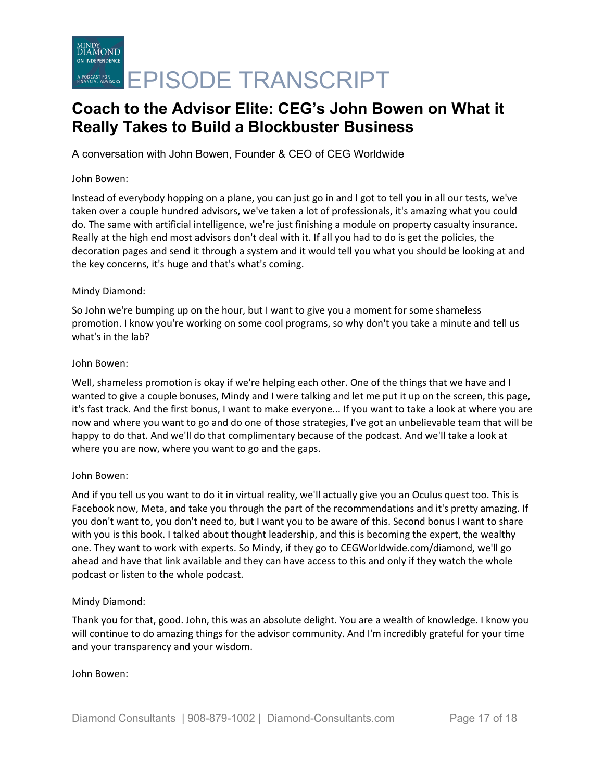A conversation with John Bowen, Founder & CEO of CEG Worldwide

#### John Bowen:

Instead of everybody hopping on a plane, you can just go in and I got to tell you in all our tests, we've taken over a couple hundred advisors, we've taken a lot of professionals, it's amazing what you could do. The same with artificial intelligence, we're just finishing a module on property casualty insurance. Really at the high end most advisors don't deal with it. If all you had to do is get the policies, the decoration pages and send it through a system and it would tell you what you should be looking at and the key concerns, it's huge and that's what's coming.

#### Mindy Diamond:

So John we're bumping up on the hour, but I want to give you a moment for some shameless promotion. I know you're working on some cool programs, so why don't you take a minute and tell us what's in the lab?

#### John Bowen:

Well, shameless promotion is okay if we're helping each other. One of the things that we have and I wanted to give a couple bonuses, Mindy and I were talking and let me put it up on the screen, this page, it's fast track. And the first bonus, I want to make everyone... If you want to take a look at where you are now and where you want to go and do one of those strategies, I've got an unbelievable team that will be happy to do that. And we'll do that complimentary because of the podcast. And we'll take a look at where you are now, where you want to go and the gaps.

### John Bowen:

And if you tell us you want to do it in virtual reality, we'll actually give you an Oculus quest too. This is Facebook now, Meta, and take you through the part of the recommendations and it's pretty amazing. If you don't want to, you don't need to, but I want you to be aware of this. Second bonus I want to share with you is this book. I talked about thought leadership, and this is becoming the expert, the wealthy one. They want to work with experts. So Mindy, if they go to CEGWorldwide.com/diamond, we'll go ahead and have that link available and they can have access to this and only if they watch the whole podcast or listen to the whole podcast.

### Mindy Diamond:

Thank you for that, good. John, this was an absolute delight. You are a wealth of knowledge. I know you will continue to do amazing things for the advisor community. And I'm incredibly grateful for your time and your transparency and your wisdom.

### John Bowen: